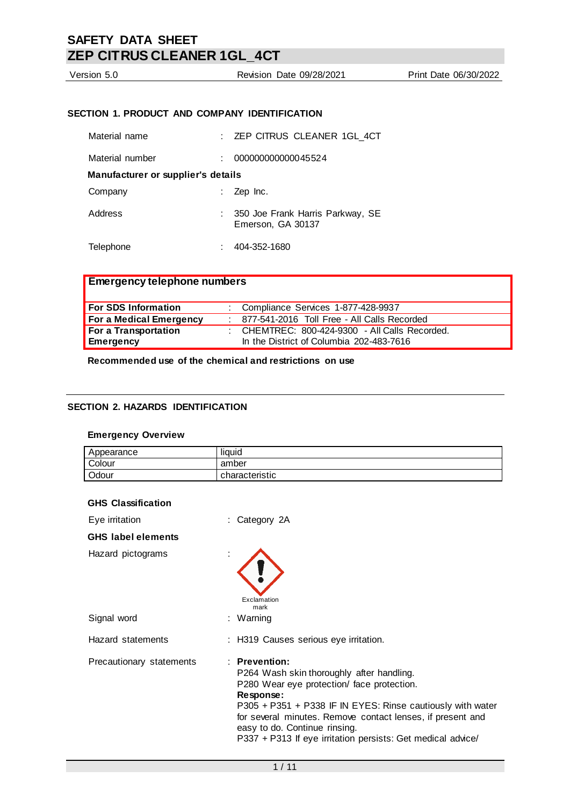| Version 5.0     | Revision Date 09/28/2021                      | Print Date 06/30/2022 |
|-----------------|-----------------------------------------------|-----------------------|
|                 |                                               |                       |
|                 |                                               |                       |
|                 | SECTION 1. PRODUCT AND COMPANY IDENTIFICATION |                       |
|                 |                                               |                       |
| Material name   | : ZEP CITRUS CLEANER 1GL_4CT                  |                       |
|                 |                                               |                       |
| Material number | 000000000000045524                            |                       |

**Manufacturer or supplier's details** Company : Zep Inc.

Address : 350 Joe Frank Harris Parkway, SE Emerson, GA 30137

Telephone : 404-352-1680

| <b>Emergency telephone numbers</b> |  |                                                  |  |
|------------------------------------|--|--------------------------------------------------|--|
| <b>For SDS Information</b>         |  | : Compliance Services 1-877-428-9937             |  |
| <b>For a Medical Emergency</b>     |  | : 877-541-2016 Toll Free - All Calls Recorded    |  |
| For a Transportation               |  | : CHEMTREC: $800-424-9300$ - All Calls Recorded. |  |
| <b>Emergency</b>                   |  | In the District of Columbia 202-483-7616         |  |

**Recommended use of the chemical and restrictions on use**

## **SECTION 2. HAZARDS IDENTIFICATION**

### **Emergency Overview**

| Appearance | liquid         |
|------------|----------------|
| Colour     | amber          |
| Odour      | characteristic |

| <b>GHS Classification</b> |                                                                                                                                                                                                                                                                                                                                                     |
|---------------------------|-----------------------------------------------------------------------------------------------------------------------------------------------------------------------------------------------------------------------------------------------------------------------------------------------------------------------------------------------------|
| Eye irritation            | : Category 2A                                                                                                                                                                                                                                                                                                                                       |
| <b>GHS</b> label elements |                                                                                                                                                                                                                                                                                                                                                     |
| Hazard pictograms         | Exclamation<br>mark                                                                                                                                                                                                                                                                                                                                 |
| Signal word               | : Warning                                                                                                                                                                                                                                                                                                                                           |
| Hazard statements         | : H319 Causes serious eye irritation.                                                                                                                                                                                                                                                                                                               |
| Precautionary statements  | $:$ Prevention:<br>P264 Wash skin thoroughly after handling.<br>P280 Wear eye protection/ face protection.<br>Response:<br>P305 + P351 + P338 IF IN EYES: Rinse cautiously with water<br>for several minutes. Remove contact lenses, if present and<br>easy to do. Continue rinsing.<br>P337 + P313 If eye irritation persists: Get medical advice/ |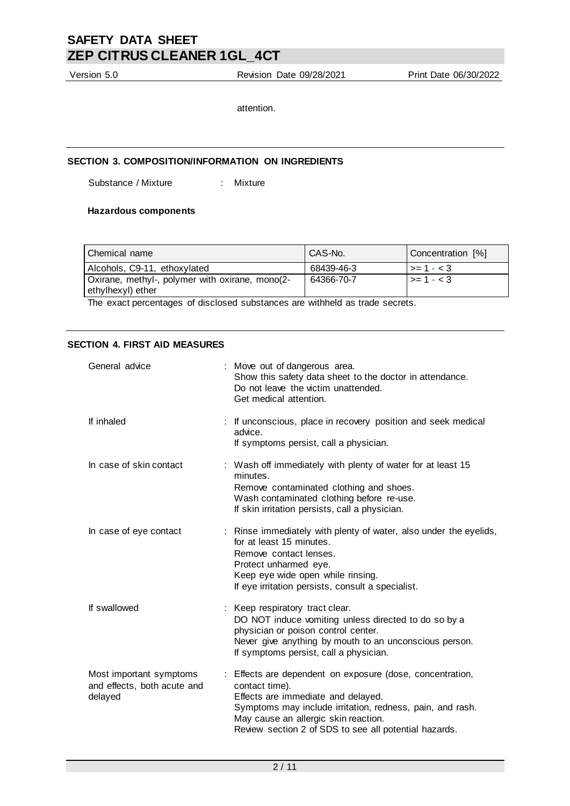Version 5.0 Revision Date 09/28/2021 Print Date 06/30/2022

attention.

### **SECTION 3. COMPOSITION/INFORMATION ON INGREDIENTS**

Substance / Mixture : Mixture

### **Hazardous components**

| Chemical name                                                        | CAS-No.    | Concentration [%]       |
|----------------------------------------------------------------------|------------|-------------------------|
| Alcohols, C9-11, ethoxylated                                         | 68439-46-3 | $\vert \rangle = 1 - 3$ |
| Oxirane, methyl-, polymer with oxirane, mono(2-<br>ethylhexyl) ether | 64366-70-7 | $\vert \rangle = 1 - 3$ |

The exact percentages of disclosed substances are withheld as trade secrets.

#### **SECTION 4. FIRST AID MEASURES**

| General advice                                                    | : Move out of dangerous area.<br>Show this safety data sheet to the doctor in attendance.<br>Do not leave the victim unattended.<br>Get medical attention.                                                                                                                      |
|-------------------------------------------------------------------|---------------------------------------------------------------------------------------------------------------------------------------------------------------------------------------------------------------------------------------------------------------------------------|
| If inhaled                                                        | : If unconscious, place in recovery position and seek medical<br>advice.<br>If symptoms persist, call a physician.                                                                                                                                                              |
| In case of skin contact                                           | : Wash off immediately with plenty of water for at least 15<br>minutes.<br>Remove contaminated clothing and shoes.<br>Wash contaminated clothing before re-use.<br>If skin irritation persists, call a physician.                                                               |
| In case of eye contact                                            | : Rinse immediately with plenty of water, also under the eyelids,<br>for at least 15 minutes.<br>Remove contact lenses.<br>Protect unharmed eye.<br>Keep eye wide open while rinsing.<br>If eye irritation persists, consult a specialist.                                      |
| If swallowed                                                      | Keep respiratory tract clear.<br>DO NOT induce vomiting unless directed to do so by a<br>physician or poison control center.<br>Never give anything by mouth to an unconscious person.<br>If symptoms persist, call a physician.                                                |
| Most important symptoms<br>and effects, both acute and<br>delayed | : Effects are dependent on exposure (dose, concentration,<br>contact time).<br>Effects are immediate and delayed.<br>Symptoms may include irritation, redness, pain, and rash.<br>May cause an allergic skin reaction.<br>Review section 2 of SDS to see all potential hazards. |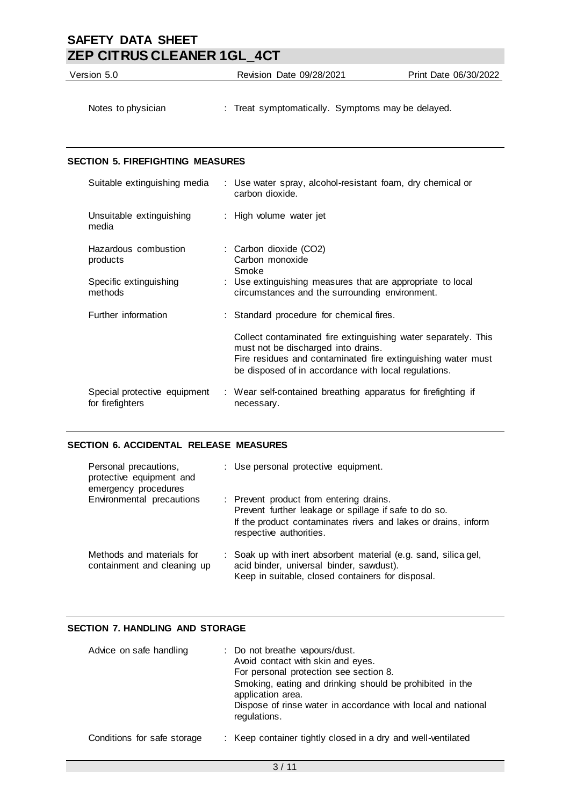| Version 5.0                             | Revision Date 09/28/2021                                                                                                                                                                                                      | Print Date 06/30/2022 |
|-----------------------------------------|-------------------------------------------------------------------------------------------------------------------------------------------------------------------------------------------------------------------------------|-----------------------|
| Notes to physician                      | : Treat symptomatically. Symptoms may be delayed.                                                                                                                                                                             |                       |
| <b>SECTION 5. FIREFIGHTING MEASURES</b> |                                                                                                                                                                                                                               |                       |
| Suitable extinguishing media            | : Use water spray, alcohol-resistant foam, dry chemical or<br>carbon dioxide.                                                                                                                                                 |                       |
| Unsuitable extinguishing<br>media       | : High volume water jet                                                                                                                                                                                                       |                       |
| Hazardous combustion<br>products        | : Carbon dioxide (CO2)<br>Carbon monoxide<br>Smoke                                                                                                                                                                            |                       |
| Specific extinguishing<br>methods       | : Use extinguishing measures that are appropriate to local<br>circumstances and the surrounding environment.                                                                                                                  |                       |
| Further information                     | : Standard procedure for chemical fires.                                                                                                                                                                                      |                       |
|                                         | Collect contaminated fire extinguishing water separately. This<br>must not be discharged into drains.<br>Fire residues and contaminated fire extinguishing water must<br>be disposed of in accordance with local regulations. |                       |

Special protective equipment : Wear self-contained breathing apparatus for firefighting if for firefighters necessary.

## **SECTION 6. ACCIDENTAL RELEASE MEASURES**

| Personal precautions,<br>protective equipment and<br>emergency procedures | : Use personal protective equipment.                                                                                                                                                          |
|---------------------------------------------------------------------------|-----------------------------------------------------------------------------------------------------------------------------------------------------------------------------------------------|
| Environmental precautions                                                 | : Prevent product from entering drains.<br>Prevent further leakage or spillage if safe to do so.<br>If the product contaminates rivers and lakes or drains, inform<br>respective authorities. |
| Methods and materials for<br>containment and cleaning up                  | : Soak up with inert absorbent material (e.g. sand, silica gel,<br>acid binder, universal binder, sawdust).<br>Keep in suitable, closed containers for disposal.                              |

## **SECTION 7. HANDLING AND STORAGE**

| Advice on safe handling     | : Do not breathe vapours/dust.<br>Avoid contact with skin and eyes.<br>For personal protection see section 8.<br>Smoking, eating and drinking should be prohibited in the<br>application area.<br>Dispose of rinse water in accordance with local and national<br>regulations. |
|-----------------------------|--------------------------------------------------------------------------------------------------------------------------------------------------------------------------------------------------------------------------------------------------------------------------------|
| Conditions for safe storage | : Keep container tightly closed in a dry and well-ventilated                                                                                                                                                                                                                   |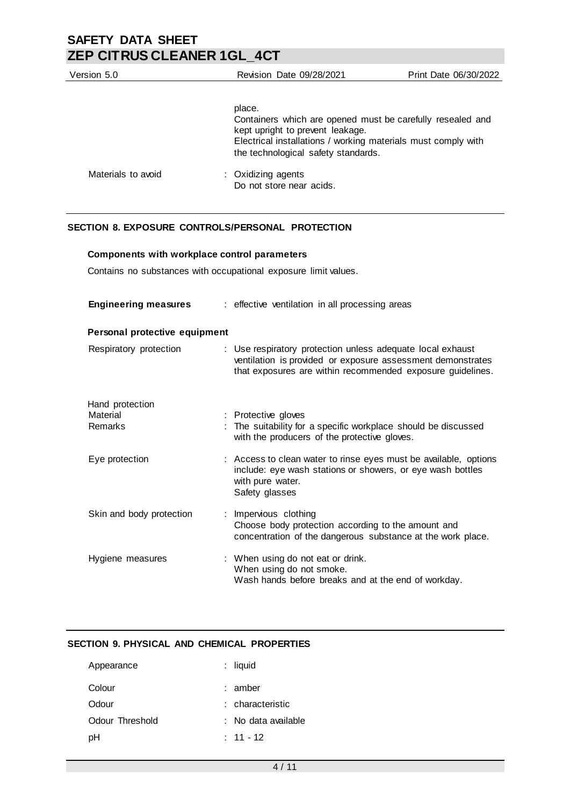| Version 5.0        | Revision Date 09/28/2021                                                                                                                                                                                         | Print Date 06/30/2022 |
|--------------------|------------------------------------------------------------------------------------------------------------------------------------------------------------------------------------------------------------------|-----------------------|
|                    | place.<br>Containers which are opened must be carefully resealed and<br>kept upright to prevent leakage.<br>Electrical installations / working materials must comply with<br>the technological safety standards. |                       |
| Materials to avoid | : Oxidizing agents<br>Do not store near acids.                                                                                                                                                                   |                       |

## **SECTION 8. EXPOSURE CONTROLS/PERSONAL PROTECTION**

### **Components with workplace control parameters**

Contains no substances with occupational exposure limit values.

| <b>Engineering measures</b>   | : effective ventilation in all processing areas                                                                                                                                         |
|-------------------------------|-----------------------------------------------------------------------------------------------------------------------------------------------------------------------------------------|
| Personal protective equipment |                                                                                                                                                                                         |
| Respiratory protection        | : Use respiratory protection unless adequate local exhaust<br>ventilation is provided or exposure assessment demonstrates<br>that exposures are within recommended exposure guidelines. |
| Hand protection               |                                                                                                                                                                                         |
| Material<br>Remarks           | : Protective gloves                                                                                                                                                                     |
|                               | : The suitability for a specific workplace should be discussed<br>with the producers of the protective gloves.                                                                          |
| Eye protection                | : Access to clean water to rinse eyes must be available, options<br>include: eye wash stations or showers, or eye wash bottles<br>with pure water.<br>Safety glasses                    |
| Skin and body protection      | : Impervious clothing<br>Choose body protection according to the amount and<br>concentration of the dangerous substance at the work place.                                              |
| Hygiene measures              | : When using do not eat or drink.<br>When using do not smoke.<br>Wash hands before breaks and at the end of workday.                                                                    |

## **SECTION 9. PHYSICAL AND CHEMICAL PROPERTIES**

| Appearance      | $:$ liquid          |
|-----------------|---------------------|
| Colour          | $:$ amber           |
| Odour           | : characteristic    |
| Odour Threshold | : No data available |
| рH              | $: 11 - 12$         |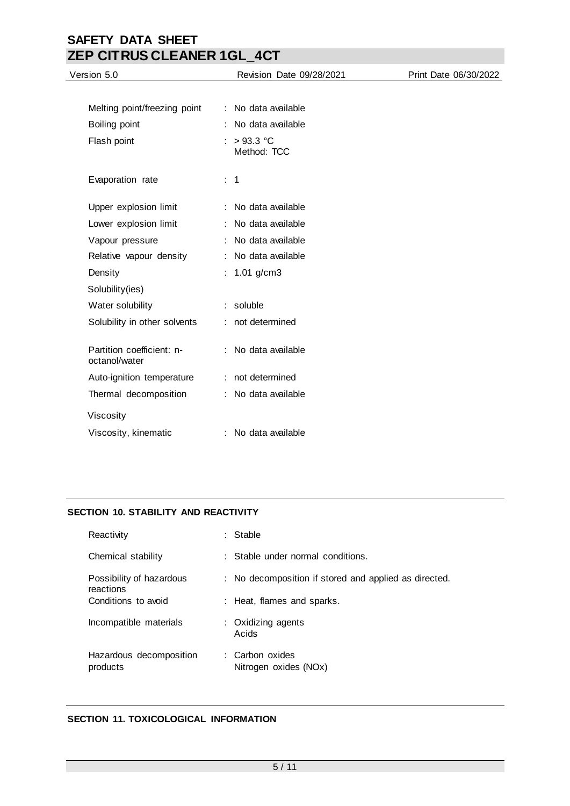| Version 5.0                                | Revision Date 09/28/2021  | Print Date 06/30/2022 |
|--------------------------------------------|---------------------------|-----------------------|
|                                            |                           |                       |
| Melting point/freezing point               | : No data available       |                       |
| Boiling point                              | : No data available       |                       |
| Flash point                                | $>93.3$ °C<br>Method: TCC |                       |
| Evaporation rate                           | $\therefore$ 1            |                       |
| Upper explosion limit                      | : No data available       |                       |
| Lower explosion limit                      | : No data available       |                       |
| Vapour pressure                            | : No data available       |                       |
| Relative vapour density                    | No data available         |                       |
| Density                                    | : $1.01$ g/cm3            |                       |
| Solubility(ies)                            |                           |                       |
| Water solubility                           | : soluble                 |                       |
| Solubility in other solvents               | : not determined          |                       |
| Partition coefficient: n-<br>octanol/water | : No data available       |                       |
| Auto-ignition temperature                  | : not determined          |                       |
| Thermal decomposition                      | : No data available       |                       |
| Viscosity                                  |                           |                       |
| Viscosity, kinematic                       | : No data available       |                       |

## **SECTION 10. STABILITY AND REACTIVITY**

| Reactivity                            | : Stable                                              |
|---------------------------------------|-------------------------------------------------------|
| Chemical stability                    | $\therefore$ Stable under normal conditions.          |
| Possibility of hazardous<br>reactions | : No decomposition if stored and applied as directed. |
| Conditions to avoid                   | : Heat, flames and sparks.                            |
| Incompatible materials                | : Oxidizing agents<br>Acids                           |
| Hazardous decomposition<br>products   | : Carbon oxides<br>Nitrogen oxides (NOx)              |

## **SECTION 11. TOXICOLOGICAL INFORMATION**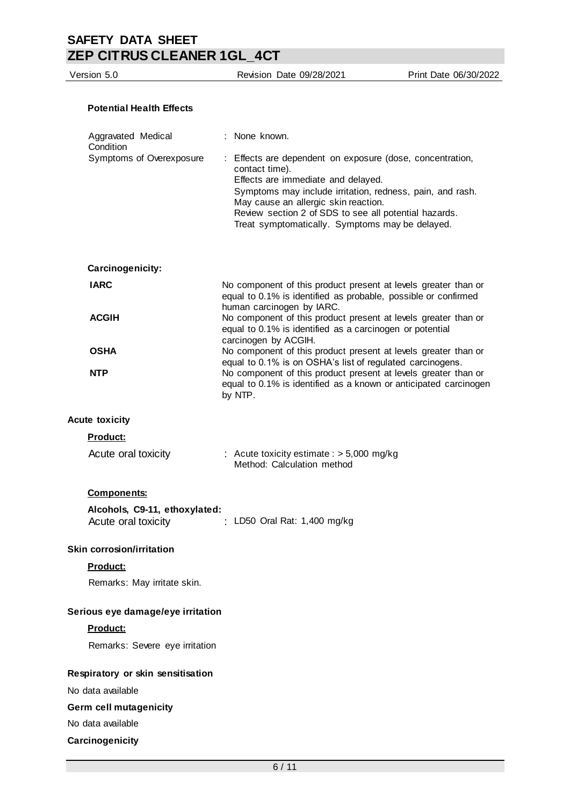| <b>Potential Health Effects</b>                      |                                                                                                                                                                                                                                                                                                                                    |
|------------------------------------------------------|------------------------------------------------------------------------------------------------------------------------------------------------------------------------------------------------------------------------------------------------------------------------------------------------------------------------------------|
| Aggravated Medical<br>Condition                      | : None known.                                                                                                                                                                                                                                                                                                                      |
| Symptoms of Overexposure                             | : Effects are dependent on exposure (dose, concentration,<br>contact time).<br>Effects are immediate and delayed.<br>Symptoms may include irritation, redness, pain, and rash.<br>May cause an allergic skin reaction.<br>Review section 2 of SDS to see all potential hazards.<br>Treat symptomatically. Symptoms may be delayed. |
| Carcinogenicity:                                     |                                                                                                                                                                                                                                                                                                                                    |
| <b>IARC</b>                                          | No component of this product present at levels greater than or<br>equal to 0.1% is identified as probable, possible or confirmed<br>human carcinogen by IARC.                                                                                                                                                                      |
| <b>ACGIH</b>                                         | No component of this product present at levels greater than or<br>equal to 0.1% is identified as a carcinogen or potential<br>carcinogen by ACGIH.                                                                                                                                                                                 |
| <b>OSHA</b>                                          | No component of this product present at levels greater than or<br>equal to 0.1% is on OSHA's list of regulated carcinogens.                                                                                                                                                                                                        |
| <b>NTP</b>                                           | No component of this product present at levels greater than or<br>equal to 0.1% is identified as a known or anticipated carcinogen<br>by NTP.                                                                                                                                                                                      |
| <b>Acute toxicity</b>                                |                                                                                                                                                                                                                                                                                                                                    |
| <b>Product:</b>                                      |                                                                                                                                                                                                                                                                                                                                    |
| Acute oral toxicity                                  | : Acute toxicity estimate : $> 5,000$ mg/kg<br>Method: Calculation method                                                                                                                                                                                                                                                          |
| <b>Components:</b>                                   |                                                                                                                                                                                                                                                                                                                                    |
| Alcohols, C9-11, ethoxylated:<br>Acute oral toxicity | : LD50 Oral Rat: 1,400 mg/kg                                                                                                                                                                                                                                                                                                       |
| <b>Skin corrosion/irritation</b>                     |                                                                                                                                                                                                                                                                                                                                    |
| <b>Product:</b>                                      |                                                                                                                                                                                                                                                                                                                                    |
| Remarks: May irritate skin.                          |                                                                                                                                                                                                                                                                                                                                    |
| Serious eye damage/eye irritation                    |                                                                                                                                                                                                                                                                                                                                    |
| Product:                                             |                                                                                                                                                                                                                                                                                                                                    |
| Remarks: Severe eye irritation                       |                                                                                                                                                                                                                                                                                                                                    |
| Respiratory or skin sensitisation                    |                                                                                                                                                                                                                                                                                                                                    |
| No data available                                    |                                                                                                                                                                                                                                                                                                                                    |
| Germ cell mutagenicity                               |                                                                                                                                                                                                                                                                                                                                    |
| No data available                                    |                                                                                                                                                                                                                                                                                                                                    |

Version 5.0 Revision Date 09/28/2021 Print Date 06/30/2022

**Carcinogenicity**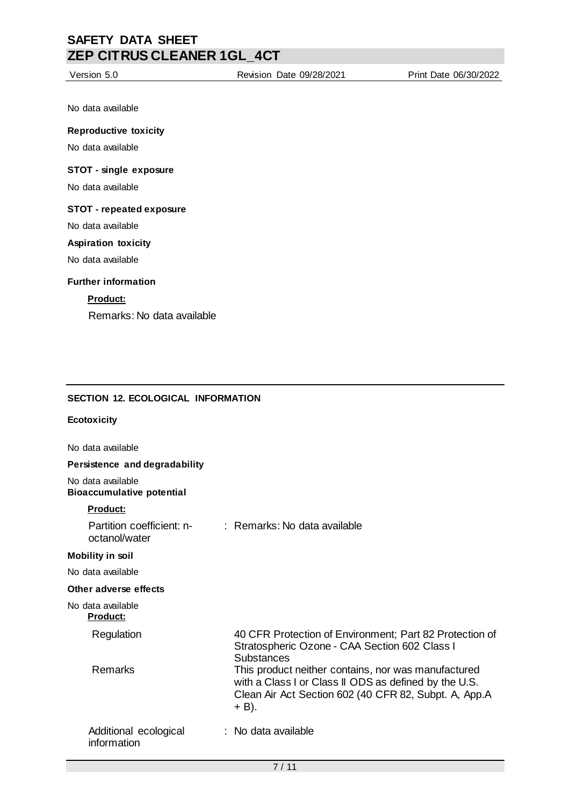No data available

### **Reproductive toxicity**

No data available

### **STOT - single exposure**

No data available

## **STOT - repeated exposure**

No data available

### **Aspiration toxicity**

No data available

### **Further information**

## **Product:**

Remarks: No data available

## **SECTION 12. ECOLOGICAL INFORMATION**

### **Ecotoxicity**

No data available

### **Persistence and degradability**

No data available **Bioaccumulative potential**

### **Product:**

| Partition coefficient: n-<br>octanol/water | : Remarks: No data available                                                                                                                                                     |
|--------------------------------------------|----------------------------------------------------------------------------------------------------------------------------------------------------------------------------------|
| Mobility in soil                           |                                                                                                                                                                                  |
| No data available                          |                                                                                                                                                                                  |
| Other adverse effects                      |                                                                                                                                                                                  |
| No data available<br><u>Product:</u>       |                                                                                                                                                                                  |
| Regulation                                 | 40 CFR Protection of Environment; Part 82 Protection of<br>Stratospheric Ozone - CAA Section 602 Class I<br><b>Substances</b>                                                    |
| Remarks                                    | This product neither contains, nor was manufactured<br>with a Class I or Class II ODS as defined by the U.S.<br>Clean Air Act Section 602 (40 CFR 82, Subpt. A, App.A<br>$+$ B). |
| Additional ecological<br>information       | $:$ No data available.                                                                                                                                                           |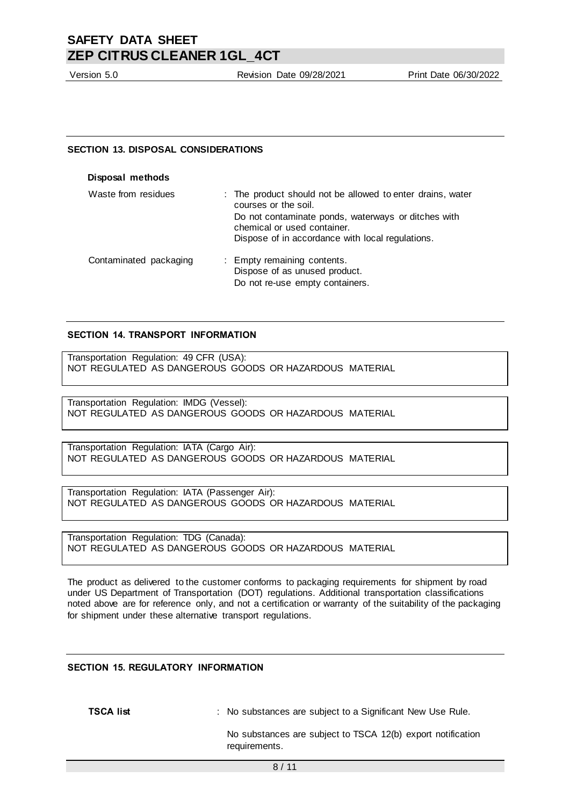Version 5.0 Revision Date 09/28/2021 Print Date 06/30/2022

#### **SECTION 13. DISPOSAL CONSIDERATIONS**

| Disposal methods       |                                                                                                                                                                                                                              |
|------------------------|------------------------------------------------------------------------------------------------------------------------------------------------------------------------------------------------------------------------------|
| Waste from residues    | : The product should not be allowed to enter drains, water<br>courses or the soil.<br>Do not contaminate ponds, waterways or ditches with<br>chemical or used container.<br>Dispose of in accordance with local regulations. |
| Contaminated packaging | : Empty remaining contents.<br>Dispose of as unused product.<br>Do not re-use empty containers.                                                                                                                              |

#### **SECTION 14. TRANSPORT INFORMATION**

Transportation Regulation: 49 CFR (USA): NOT REGULATED AS DANGEROUS GOODS OR HAZARDOUS MATERIAL

Transportation Regulation: IMDG (Vessel): NOT REGULATED AS DANGEROUS GOODS OR HAZARDOUS MATERIAL

Transportation Regulation: IATA (Cargo Air): NOT REGULATED AS DANGEROUS GOODS OR HAZARDOUS MATERIAL

Transportation Regulation: IATA (Passenger Air): NOT REGULATED AS DANGEROUS GOODS OR HAZARDOUS MATERIAL

Transportation Regulation: TDG (Canada): NOT REGULATED AS DANGEROUS GOODS OR HAZARDOUS MATERIAL

The product as delivered to the customer conforms to packaging requirements for shipment by road under US Department of Transportation (DOT) regulations. Additional transportation classifications noted above are for reference only, and not a certification or warranty of the suitability of the packaging for shipment under these alternative transport regulations.

### **SECTION 15. REGULATORY INFORMATION**

**TSCA list interpretatally** : No substances are subject to a Significant New Use Rule.

No substances are subject to TSCA 12(b) export notification requirements.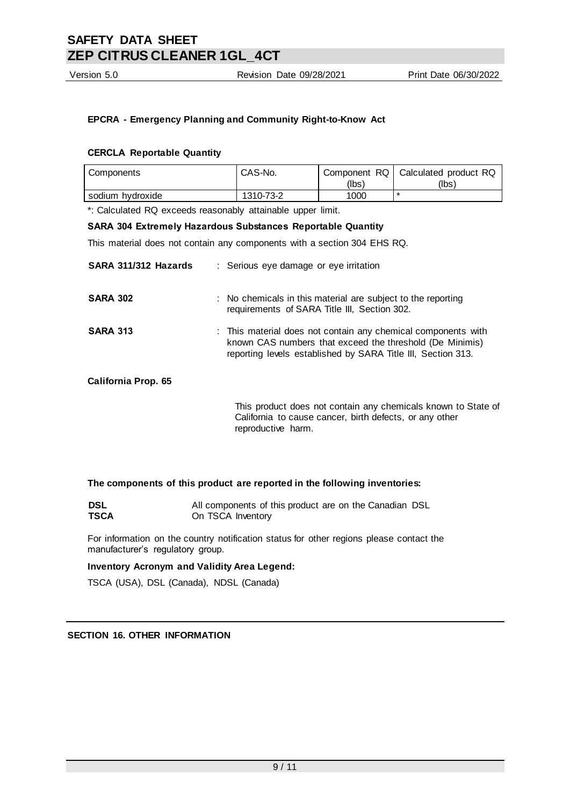Version 5.0 Revision Date 09/28/2021 Print Date 06/30/2022

## **EPCRA - Emergency Planning and Community Right-to-Know Act**

### **CERCLA Reportable Quantity**

| Components       | CAS-No.   |       | Component RQ   Calculated product RQ |
|------------------|-----------|-------|--------------------------------------|
|                  |           | (lbs) | (Ibs)                                |
| sodium hvdroxide | 1310-73-2 | 1000  |                                      |

\*: Calculated RQ exceeds reasonably attainable upper limit.

### **SARA 304 Extremely Hazardous Substances Reportable Quantity**

This material does not contain any components with a section 304 EHS RQ.

| SARA 311/312 Hazards       | : Serious eye damage or eye irritation                                                                                                                                                    |
|----------------------------|-------------------------------------------------------------------------------------------------------------------------------------------------------------------------------------------|
| <b>SARA 302</b>            | : No chemicals in this material are subject to the reporting<br>requirements of SARA Title III, Section 302.                                                                              |
| <b>SARA 313</b>            | : This material does not contain any chemical components with<br>known CAS numbers that exceed the threshold (De Minimis)<br>reporting levels established by SARA Title III, Section 313. |
| <b>California Prop. 65</b> |                                                                                                                                                                                           |
|                            | This product does not contain any chemicals known to State of<br>California to cause cancer, birth defects, or any other<br>reproductive harm.                                            |

#### **The components of this product are reported in the following inventories:**

| <b>DSL</b>  | All components of this product are on the Canadian DSL |
|-------------|--------------------------------------------------------|
| <b>TSCA</b> | On TSCA Inventory                                      |

For information on the country notification status for other regions please contact the manufacturer's regulatory group.

#### **Inventory Acronym and Validity Area Legend:**

TSCA (USA), DSL (Canada), NDSL (Canada)

## **SECTION 16. OTHER INFORMATION**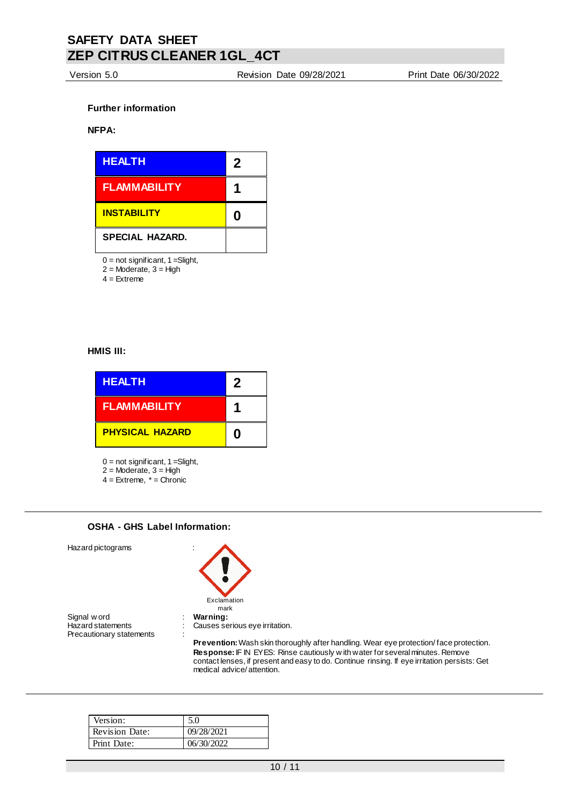Version 5.0 Revision Date 09/28/2021 Print Date 06/30/2022

### **Further information**

### **NFPA:**



 $0 = not$  significant,  $1 =$ Slight,

 $2 =$ Moderate,  $3 =$ High

 $4 =$ Extreme

#### **HMIS III:**

| <b>HEALTH</b>          | 2 |
|------------------------|---|
| <b>FLAMMABILITY</b>    |   |
| <b>PHYSICAL HAZARD</b> | n |

 $0 = not$  significant,  $1 =$ Slight,

- 2 = Moderate, 3 = High 4 = Extreme, \* = Chronic
- **OSHA - GHS Label Information:**

Hazard pictograms :

Signal w ord **in the statements** of the statements of the statements of the statements of the statements of the statements of the statements of the statements of the statements of the statements of the statements of the st Precautionary statements



mark Causes serious eye irritation.

**Prevention:** Wash skin thoroughly after handling. Wear eye protection/ face protection. **Response:** IF IN EYES: Rinse cautiously w ith water for several minutes. Remove contact lenses, if present and easy to do. Continue rinsing. If eye irritation persists: Get medical advice/ attention.

| Version:              | 5.0        |
|-----------------------|------------|
| <b>Revision Date:</b> | 09/28/2021 |
| Print Date:           | 06/30/2022 |